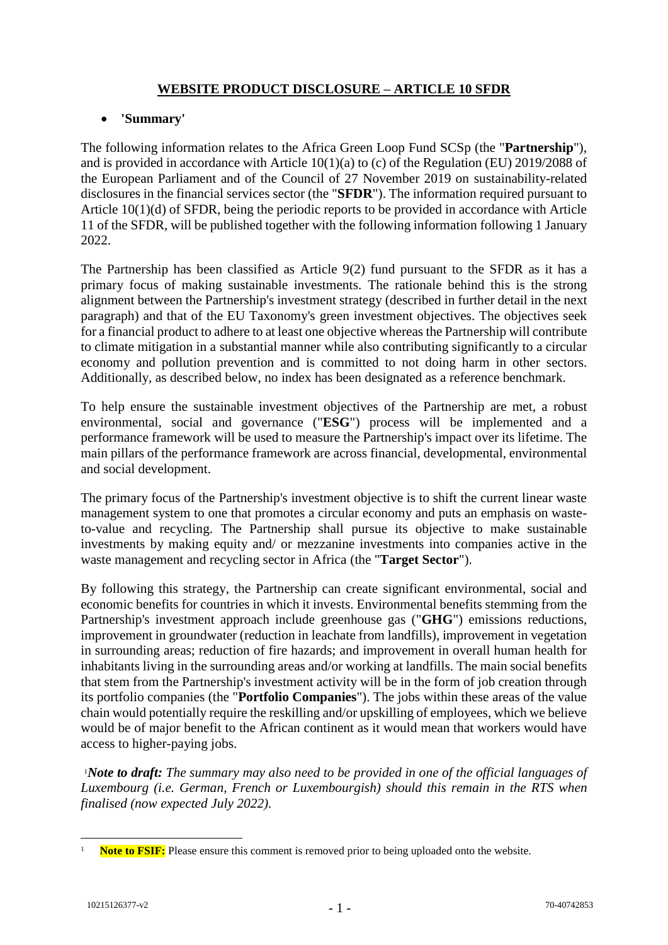# **WEBSITE PRODUCT DISCLOSURE – ARTICLE 10 SFDR**

## **'Summary'**

The following information relates to the Africa Green Loop Fund SCSp (the "**Partnership**"), and is provided in accordance with Article 10(1)(a) to (c) of the Regulation (EU) 2019/2088 of the European Parliament and of the Council of 27 November 2019 on sustainability-related disclosures in the financial services sector (the "**SFDR**"). The information required pursuant to Article 10(1)(d) of SFDR, being the periodic reports to be provided in accordance with Article 11 of the SFDR, will be published together with the following information following 1 January 2022.

The Partnership has been classified as Article 9(2) fund pursuant to the SFDR as it has a primary focus of making sustainable investments. The rationale behind this is the strong alignment between the Partnership's investment strategy (described in further detail in the next paragraph) and that of the EU Taxonomy's green investment objectives. The objectives seek for a financial product to adhere to at least one objective whereas the Partnership will contribute to climate mitigation in a substantial manner while also contributing significantly to a circular economy and pollution prevention and is committed to not doing harm in other sectors. Additionally, as described below, no index has been designated as a reference benchmark.

To help ensure the sustainable investment objectives of the Partnership are met, a robust environmental, social and governance ("**ESG**") process will be implemented and a performance framework will be used to measure the Partnership's impact over its lifetime. The main pillars of the performance framework are across financial, developmental, environmental and social development.

The primary focus of the Partnership's investment objective is to shift the current linear waste management system to one that promotes a circular economy and puts an emphasis on wasteto-value and recycling. The Partnership shall pursue its objective to make sustainable investments by making equity and/ or mezzanine investments into companies active in the waste management and recycling sector in Africa (the "**Target Sector**").

By following this strategy, the Partnership can create significant environmental, social and economic benefits for countries in which it invests. Environmental benefits stemming from the Partnership's investment approach include greenhouse gas ("**GHG**") emissions reductions, improvement in groundwater (reduction in leachate from landfills), improvement in vegetation in surrounding areas; reduction of fire hazards; and improvement in overall human health for inhabitants living in the surrounding areas and/or working at landfills. The main social benefits that stem from the Partnership's investment activity will be in the form of job creation through its portfolio companies (the "**Portfolio Companies**"). The jobs within these areas of the value chain would potentially require the reskilling and/or upskilling of employees, which we believe would be of major benefit to the African continent as it would mean that workers would have access to higher-paying jobs.

<sup>1</sup>*Note to draft: The summary may also need to be provided in one of the official languages of Luxembourg (i.e. German, French or Luxembourgish) should this remain in the RTS when finalised (now expected July 2022).* 

<sup>&</sup>lt;u>.</u> **Note to FSIF:** Please ensure this comment is removed prior to being uploaded onto the website.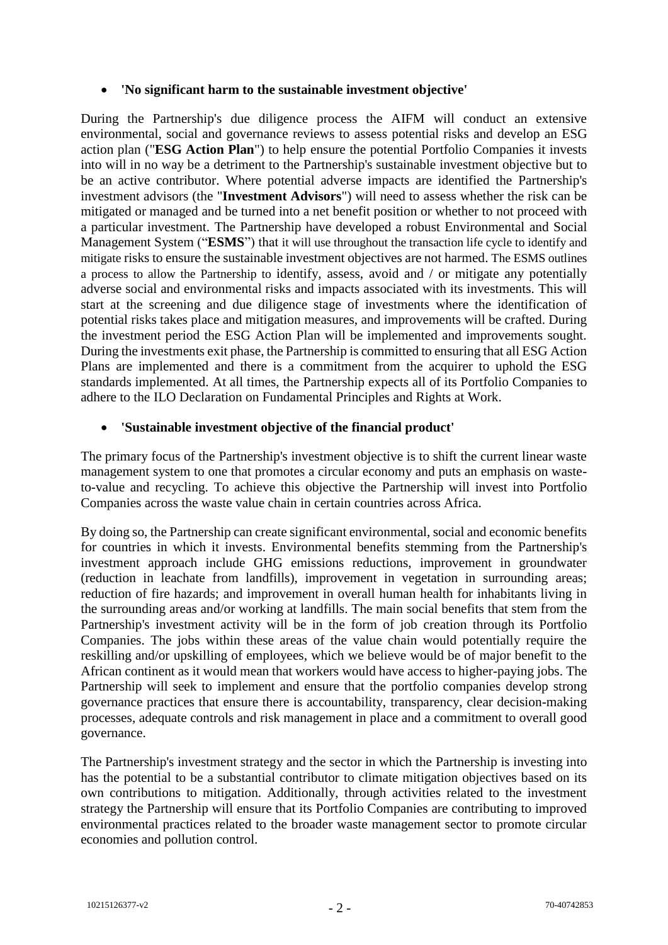#### **'No significant harm to the sustainable investment objective'**

During the Partnership's due diligence process the AIFM will conduct an extensive environmental, social and governance reviews to assess potential risks and develop an ESG action plan ("**ESG Action Plan**") to help ensure the potential Portfolio Companies it invests into will in no way be a detriment to the Partnership's sustainable investment objective but to be an active contributor. Where potential adverse impacts are identified the Partnership's investment advisors (the "**Investment Advisors**") will need to assess whether the risk can be mitigated or managed and be turned into a net benefit position or whether to not proceed with a particular investment. The Partnership have developed a robust Environmental and Social Management System ("**ESMS**") that it will use throughout the transaction life cycle to identify and mitigate risks to ensure the sustainable investment objectives are not harmed. The ESMS outlines a process to allow the Partnership to identify, assess, avoid and / or mitigate any potentially adverse social and environmental risks and impacts associated with its investments. This will start at the screening and due diligence stage of investments where the identification of potential risks takes place and mitigation measures, and improvements will be crafted. During the investment period the ESG Action Plan will be implemented and improvements sought. During the investments exit phase, the Partnership is committed to ensuring that all ESG Action Plans are implemented and there is a commitment from the acquirer to uphold the ESG standards implemented. At all times, the Partnership expects all of its Portfolio Companies to adhere to the ILO Declaration on Fundamental Principles and Rights at Work.

### **'Sustainable investment objective of the financial product'**

The primary focus of the Partnership's investment objective is to shift the current linear waste management system to one that promotes a circular economy and puts an emphasis on wasteto-value and recycling. To achieve this objective the Partnership will invest into Portfolio Companies across the waste value chain in certain countries across Africa.

By doing so, the Partnership can create significant environmental, social and economic benefits for countries in which it invests. Environmental benefits stemming from the Partnership's investment approach include GHG emissions reductions, improvement in groundwater (reduction in leachate from landfills), improvement in vegetation in surrounding areas; reduction of fire hazards; and improvement in overall human health for inhabitants living in the surrounding areas and/or working at landfills. The main social benefits that stem from the Partnership's investment activity will be in the form of job creation through its Portfolio Companies. The jobs within these areas of the value chain would potentially require the reskilling and/or upskilling of employees, which we believe would be of major benefit to the African continent as it would mean that workers would have access to higher-paying jobs. The Partnership will seek to implement and ensure that the portfolio companies develop strong governance practices that ensure there is accountability, transparency, clear decision-making processes, adequate controls and risk management in place and a commitment to overall good governance.

The Partnership's investment strategy and the sector in which the Partnership is investing into has the potential to be a substantial contributor to climate mitigation objectives based on its own contributions to mitigation. Additionally, through activities related to the investment strategy the Partnership will ensure that its Portfolio Companies are contributing to improved environmental practices related to the broader waste management sector to promote circular economies and pollution control.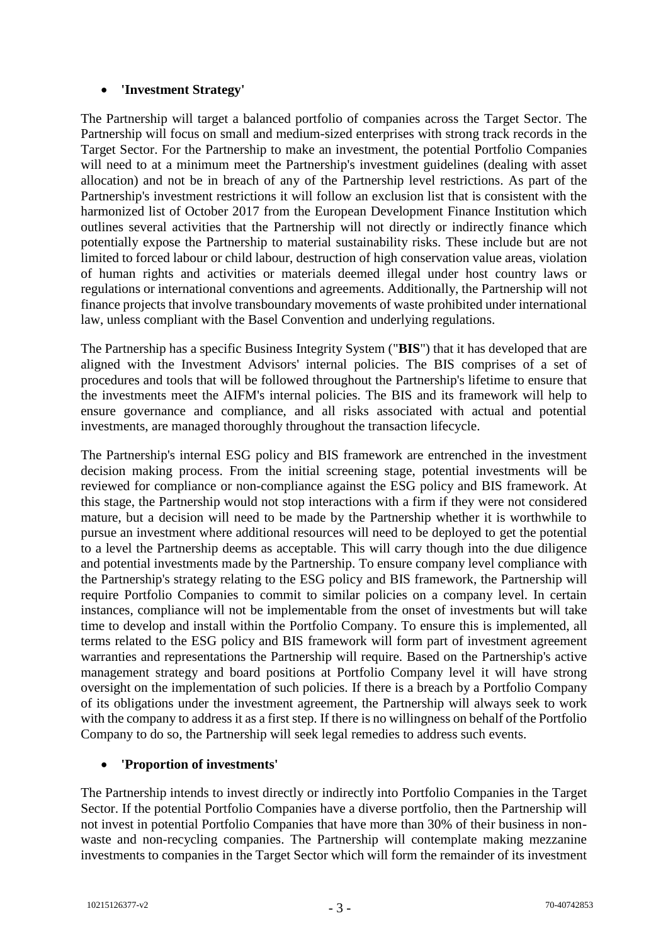## **'Investment Strategy'**

The Partnership will target a balanced portfolio of companies across the Target Sector. The Partnership will focus on small and medium-sized enterprises with strong track records in the Target Sector. For the Partnership to make an investment, the potential Portfolio Companies will need to at a minimum meet the Partnership's investment guidelines (dealing with asset allocation) and not be in breach of any of the Partnership level restrictions. As part of the Partnership's investment restrictions it will follow an exclusion list that is consistent with the harmonized list of October 2017 from the European Development Finance Institution which outlines several activities that the Partnership will not directly or indirectly finance which potentially expose the Partnership to material sustainability risks. These include but are not limited to forced labour or child labour, destruction of high conservation value areas, violation of human rights and activities or materials deemed illegal under host country laws or regulations or international conventions and agreements. Additionally, the Partnership will not finance projects that involve transboundary movements of waste prohibited under international law, unless compliant with the Basel Convention and underlying regulations.

The Partnership has a specific Business Integrity System ("**BIS**") that it has developed that are aligned with the Investment Advisors' internal policies. The BIS comprises of a set of procedures and tools that will be followed throughout the Partnership's lifetime to ensure that the investments meet the AIFM's internal policies. The BIS and its framework will help to ensure governance and compliance, and all risks associated with actual and potential investments, are managed thoroughly throughout the transaction lifecycle.

The Partnership's internal ESG policy and BIS framework are entrenched in the investment decision making process. From the initial screening stage, potential investments will be reviewed for compliance or non-compliance against the ESG policy and BIS framework. At this stage, the Partnership would not stop interactions with a firm if they were not considered mature, but a decision will need to be made by the Partnership whether it is worthwhile to pursue an investment where additional resources will need to be deployed to get the potential to a level the Partnership deems as acceptable. This will carry though into the due diligence and potential investments made by the Partnership. To ensure company level compliance with the Partnership's strategy relating to the ESG policy and BIS framework, the Partnership will require Portfolio Companies to commit to similar policies on a company level. In certain instances, compliance will not be implementable from the onset of investments but will take time to develop and install within the Portfolio Company. To ensure this is implemented, all terms related to the ESG policy and BIS framework will form part of investment agreement warranties and representations the Partnership will require. Based on the Partnership's active management strategy and board positions at Portfolio Company level it will have strong oversight on the implementation of such policies. If there is a breach by a Portfolio Company of its obligations under the investment agreement, the Partnership will always seek to work with the company to address it as a first step. If there is no willingness on behalf of the Portfolio Company to do so, the Partnership will seek legal remedies to address such events.

### **'Proportion of investments'**

The Partnership intends to invest directly or indirectly into Portfolio Companies in the Target Sector. If the potential Portfolio Companies have a diverse portfolio, then the Partnership will not invest in potential Portfolio Companies that have more than 30% of their business in nonwaste and non-recycling companies. The Partnership will contemplate making mezzanine investments to companies in the Target Sector which will form the remainder of its investment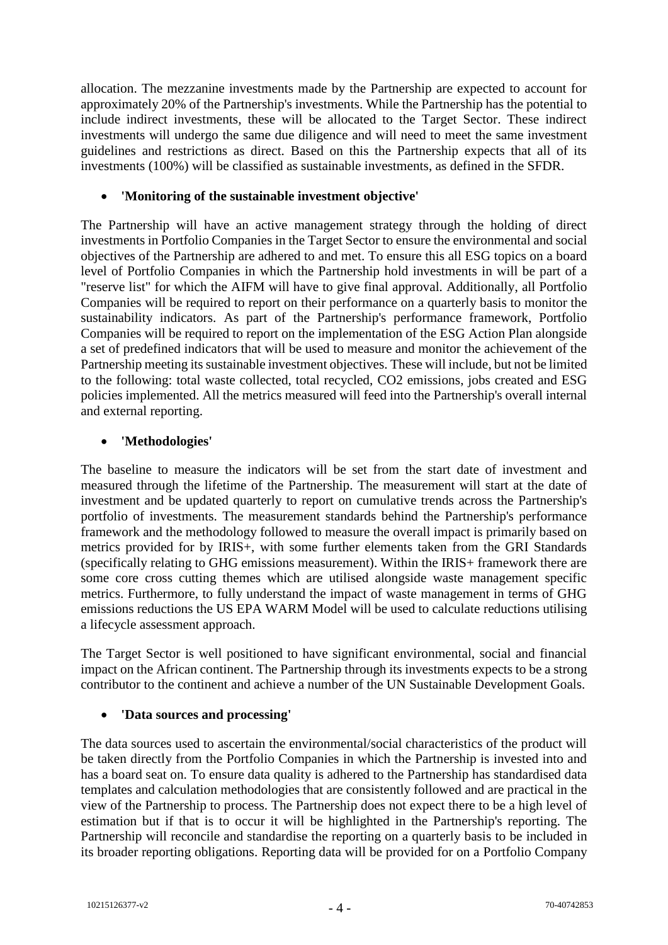allocation. The mezzanine investments made by the Partnership are expected to account for approximately 20% of the Partnership's investments. While the Partnership has the potential to include indirect investments, these will be allocated to the Target Sector. These indirect investments will undergo the same due diligence and will need to meet the same investment guidelines and restrictions as direct. Based on this the Partnership expects that all of its investments (100%) will be classified as sustainable investments, as defined in the SFDR.

#### **'Monitoring of the sustainable investment objective'**

The Partnership will have an active management strategy through the holding of direct investments in Portfolio Companies in the Target Sector to ensure the environmental and social objectives of the Partnership are adhered to and met. To ensure this all ESG topics on a board level of Portfolio Companies in which the Partnership hold investments in will be part of a "reserve list" for which the AIFM will have to give final approval. Additionally, all Portfolio Companies will be required to report on their performance on a quarterly basis to monitor the sustainability indicators. As part of the Partnership's performance framework, Portfolio Companies will be required to report on the implementation of the ESG Action Plan alongside a set of predefined indicators that will be used to measure and monitor the achievement of the Partnership meeting its sustainable investment objectives. These will include, but not be limited to the following: total waste collected, total recycled, CO2 emissions, jobs created and ESG policies implemented. All the metrics measured will feed into the Partnership's overall internal and external reporting.

### **'Methodologies'**

The baseline to measure the indicators will be set from the start date of investment and measured through the lifetime of the Partnership. The measurement will start at the date of investment and be updated quarterly to report on cumulative trends across the Partnership's portfolio of investments. The measurement standards behind the Partnership's performance framework and the methodology followed to measure the overall impact is primarily based on metrics provided for by IRIS+, with some further elements taken from the GRI Standards (specifically relating to GHG emissions measurement). Within the IRIS+ framework there are some core cross cutting themes which are utilised alongside waste management specific metrics. Furthermore, to fully understand the impact of waste management in terms of GHG emissions reductions the US EPA WARM Model will be used to calculate reductions utilising a lifecycle assessment approach.

The Target Sector is well positioned to have significant environmental, social and financial impact on the African continent. The Partnership through its investments expects to be a strong contributor to the continent and achieve a number of the UN Sustainable Development Goals.

### **'Data sources and processing'**

The data sources used to ascertain the environmental/social characteristics of the product will be taken directly from the Portfolio Companies in which the Partnership is invested into and has a board seat on. To ensure data quality is adhered to the Partnership has standardised data templates and calculation methodologies that are consistently followed and are practical in the view of the Partnership to process. The Partnership does not expect there to be a high level of estimation but if that is to occur it will be highlighted in the Partnership's reporting. The Partnership will reconcile and standardise the reporting on a quarterly basis to be included in its broader reporting obligations. Reporting data will be provided for on a Portfolio Company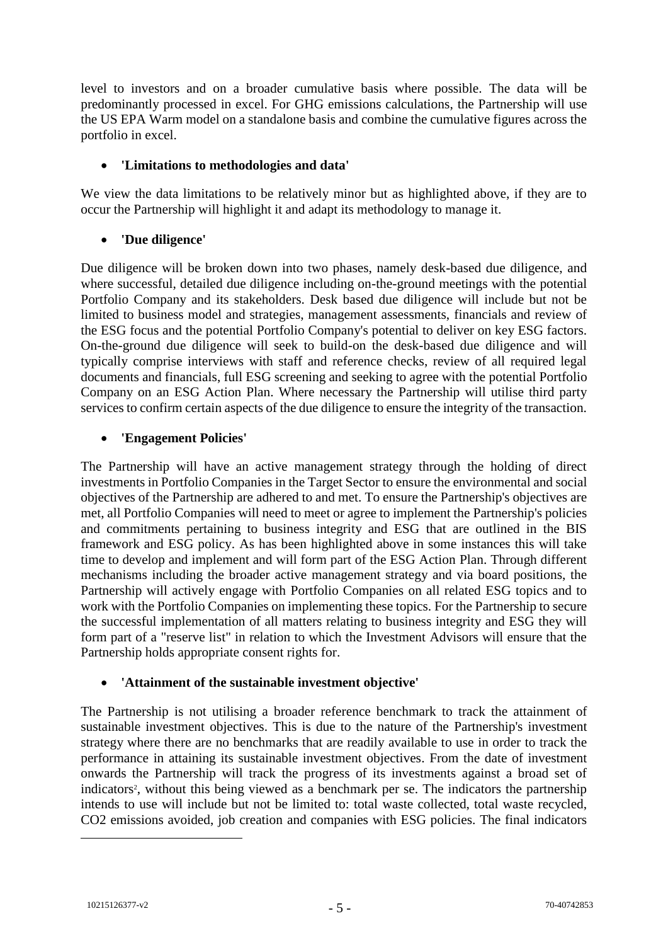level to investors and on a broader cumulative basis where possible. The data will be predominantly processed in excel. For GHG emissions calculations, the Partnership will use the US EPA Warm model on a standalone basis and combine the cumulative figures across the portfolio in excel.

## **'Limitations to methodologies and data'**

We view the data limitations to be relatively minor but as highlighted above, if they are to occur the Partnership will highlight it and adapt its methodology to manage it.

# **'Due diligence'**

Due diligence will be broken down into two phases, namely desk-based due diligence, and where successful, detailed due diligence including on-the-ground meetings with the potential Portfolio Company and its stakeholders. Desk based due diligence will include but not be limited to business model and strategies, management assessments, financials and review of the ESG focus and the potential Portfolio Company's potential to deliver on key ESG factors. On-the-ground due diligence will seek to build-on the desk-based due diligence and will typically comprise interviews with staff and reference checks, review of all required legal documents and financials, full ESG screening and seeking to agree with the potential Portfolio Company on an ESG Action Plan. Where necessary the Partnership will utilise third party services to confirm certain aspects of the due diligence to ensure the integrity of the transaction.

# **'Engagement Policies'**

The Partnership will have an active management strategy through the holding of direct investments in Portfolio Companies in the Target Sector to ensure the environmental and social objectives of the Partnership are adhered to and met. To ensure the Partnership's objectives are met, all Portfolio Companies will need to meet or agree to implement the Partnership's policies and commitments pertaining to business integrity and ESG that are outlined in the BIS framework and ESG policy. As has been highlighted above in some instances this will take time to develop and implement and will form part of the ESG Action Plan. Through different mechanisms including the broader active management strategy and via board positions, the Partnership will actively engage with Portfolio Companies on all related ESG topics and to work with the Portfolio Companies on implementing these topics. For the Partnership to secure the successful implementation of all matters relating to business integrity and ESG they will form part of a "reserve list" in relation to which the Investment Advisors will ensure that the Partnership holds appropriate consent rights for.

### **'Attainment of the sustainable investment objective'**

The Partnership is not utilising a broader reference benchmark to track the attainment of sustainable investment objectives. This is due to the nature of the Partnership's investment strategy where there are no benchmarks that are readily available to use in order to track the performance in attaining its sustainable investment objectives. From the date of investment onwards the Partnership will track the progress of its investments against a broad set of indicators<sup>2</sup>, without this being viewed as a benchmark per se. The indicators the partnership intends to use will include but not be limited to: total waste collected, total waste recycled, CO2 emissions avoided, job creation and companies with ESG policies. The final indicators

<u>.</u>